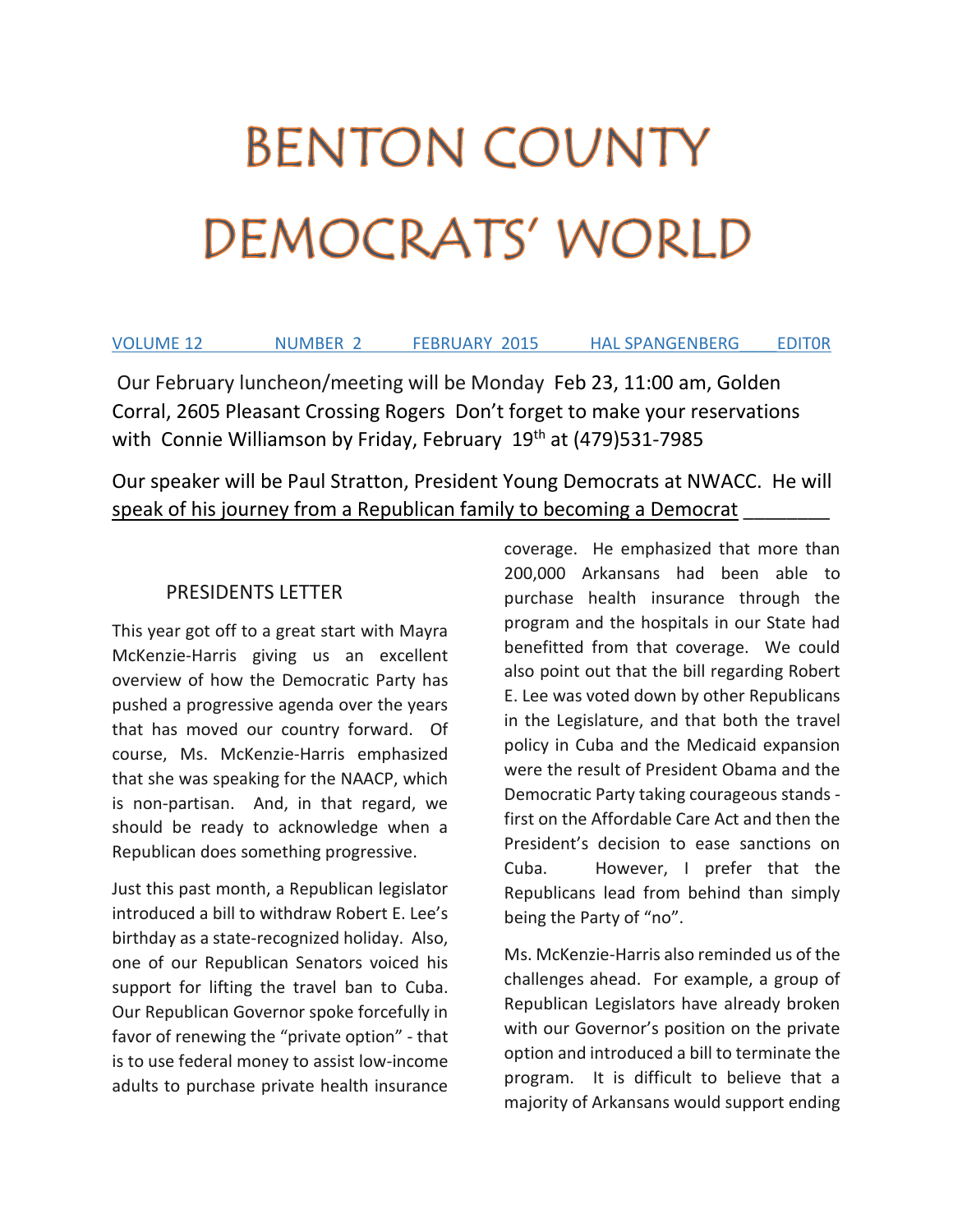# **BENTON COUNTY** DEMOCRATS' WORLD

## VOLUME 12 NUMBER 2 FEBRUARY 2015 HAL SPANGENBERG\_\_\_\_EDIT0R

Our February luncheon/meeting will be Monday Feb 23, 11:00 am, Golden Corral, 2605 Pleasant Crossing Rogers Don't forget to make your reservations with Connie Williamson by Friday, February 19<sup>th</sup> at (479)531-7985

Our speaker will be Paul Stratton, President Young Democrats at NWACC. He will speak of his journey from a Republican family to becoming a Democrat

## PRESIDENTS LETTER

This year got off to a great start with Mayra McKenzie-Harris giving us an excellent overview of how the Democratic Party has pushed a progressive agenda over the years that has moved our country forward. Of course, Ms. McKenzie-Harris emphasized that she was speaking for the NAACP, which is non-partisan. And, in that regard, we should be ready to acknowledge when a Republican does something progressive.

Just this past month, a Republican legislator introduced a bill to withdraw Robert E. Lee's birthday as a state-recognized holiday. Also, one of our Republican Senators voiced his support for lifting the travel ban to Cuba. Our Republican Governor spoke forcefully in favor of renewing the "private option" - that is to use federal money to assist low-income adults to purchase private health insurance

coverage. He emphasized that more than 200,000 Arkansans had been able to purchase health insurance through the program and the hospitals in our State had benefitted from that coverage. We could also point out that the bill regarding Robert E. Lee was voted down by other Republicans in the Legislature, and that both the travel policy in Cuba and the Medicaid expansion were the result of President Obama and the Democratic Party taking courageous stands first on the Affordable Care Act and then the President's decision to ease sanctions on Cuba. However, I prefer that the Republicans lead from behind than simply being the Party of "no".

Ms. McKenzie-Harris also reminded us of the challenges ahead. For example, a group of Republican Legislators have already broken with our Governor's position on the private option and introduced a bill to terminate the program. It is difficult to believe that a majority of Arkansans would support ending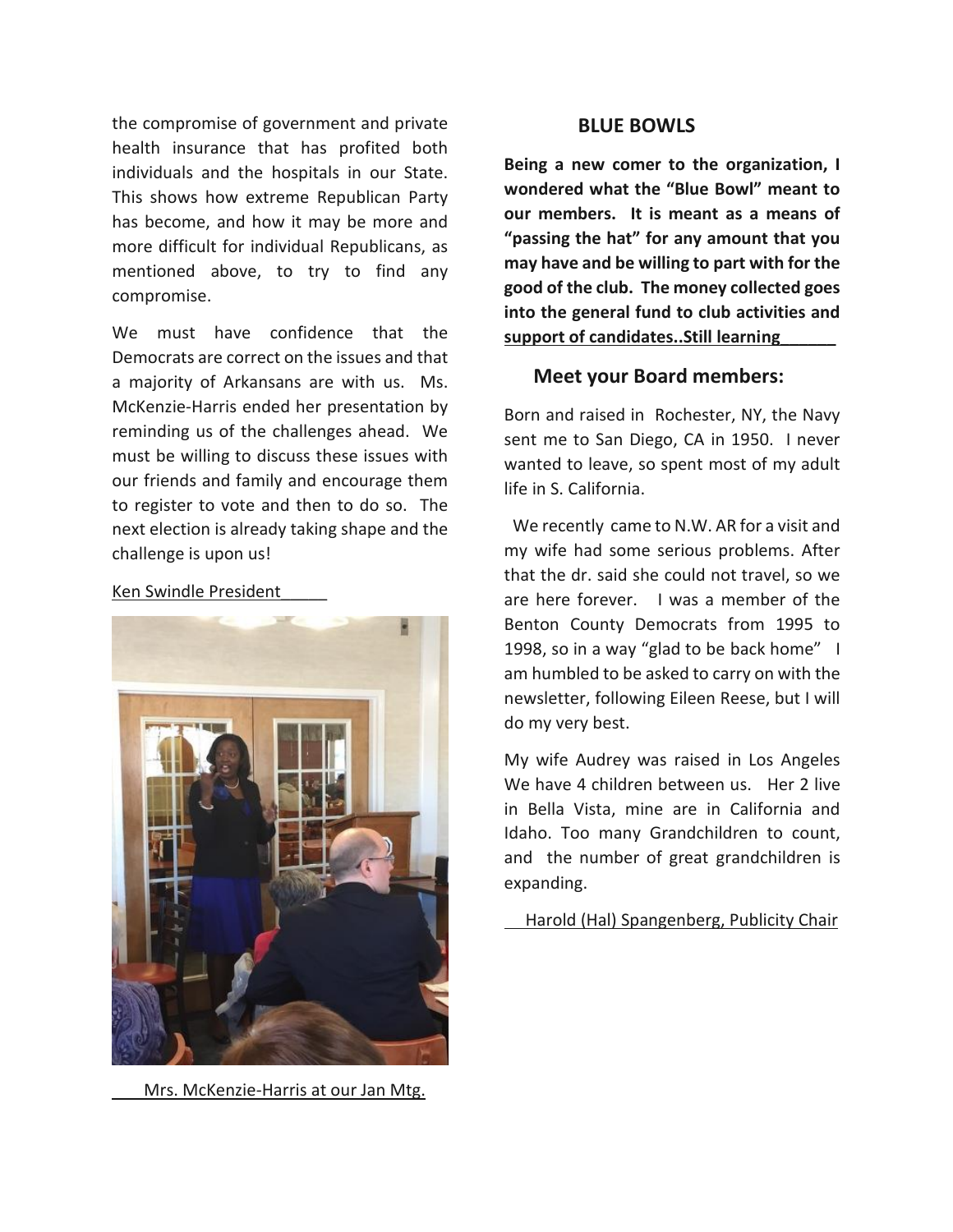the compromise of government and private health insurance that has profited both individuals and the hospitals in our State. This shows how extreme Republican Party has become, and how it may be more and more difficult for individual Republicans, as mentioned above, to try to find any compromise.

We must have confidence that the Democrats are correct on the issues and that a majority of Arkansans are with us. Ms. McKenzie-Harris ended her presentation by reminding us of the challenges ahead. We must be willing to discuss these issues with our friends and family and encourage them to register to vote and then to do so. The next election is already taking shape and the challenge is upon us!

Ken Swindle President\_\_\_\_\_



Mrs. McKenzie-Harris at our Jan Mtg.

#### **BLUE BOWLS**

**Being a new comer to the organization, I wondered what the "Blue Bowl" meant to our members. It is meant as a means of "passing the hat" for any amount that you may have and be willing to part with for the good of the club. The money collected goes into the general fund to club activities and support of candidates..Still learning\_\_\_\_\_\_**

#### **Meet your Board members:**

Born and raised in Rochester, NY, the Navy sent me to San Diego, CA in 1950. I never wanted to leave, so spent most of my adult life in S. California.

 We recently came to N.W. AR for a visit and my wife had some serious problems. After that the dr. said she could not travel, so we are here forever. I was a member of the Benton County Democrats from 1995 to 1998, so in a way "glad to be back home" I am humbled to be asked to carry on with the newsletter, following Eileen Reese, but I will do my very best.

My wife Audrey was raised in Los Angeles We have 4 children between us. Her 2 live in Bella Vista, mine are in California and Idaho. Too many Grandchildren to count, and the number of great grandchildren is expanding.

Harold (Hal) Spangenberg, Publicity Chair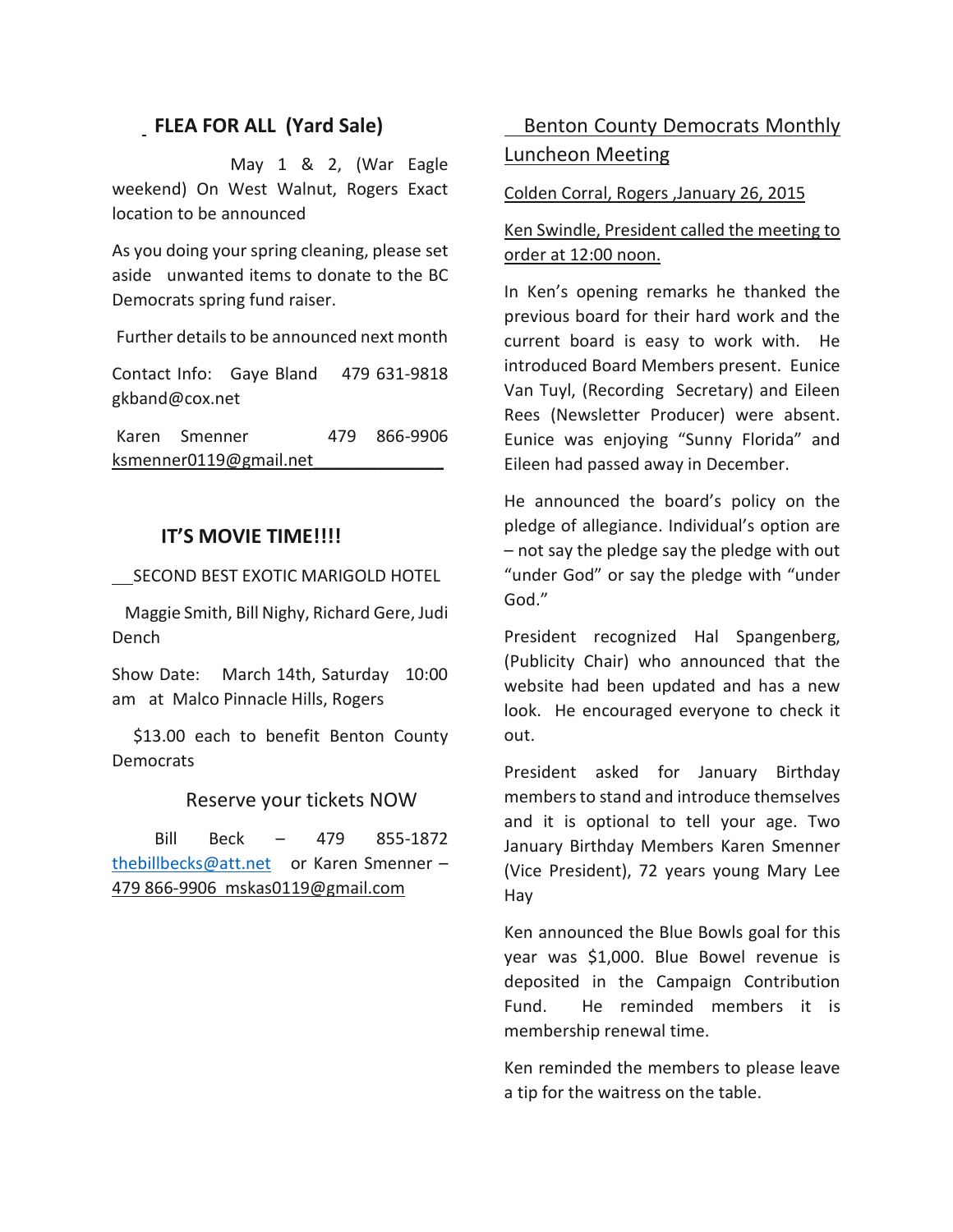# **FLEA FOR ALL (Yard Sale)**

 May 1 & 2, (War Eagle weekend) On West Walnut, Rogers Exact location to be announced

As you doing your spring cleaning, please set aside unwanted items to donate to the BC Democrats spring fund raiser.

Further details to be announced next month

Contact Info: Gaye Bland 479 631-9818 gkband@cox.net

|                        | Karen Smenner |  | 479 866-9906 |
|------------------------|---------------|--|--------------|
| ksmenner0119@gmail.net |               |  |              |

## **IT'S MOVIE TIME!!!!**

SECOND BEST EXOTIC MARIGOLD HOTEL

 Maggie Smith, Bill Nighy, Richard Gere, Judi Dench

Show Date: March 14th, Saturday 10:00 am at Malco Pinnacle Hills, Rogers

 \$13.00 each to benefit Benton County **Democrats** 

#### Reserve your tickets NOW

 Bill Beck – 479 855-1872 [thebillbecks@att.net](mailto:thebillbecks@att.net) or Karen Smenner – 479 866-9906 mskas0119@gmail.com

# Benton County Democrats Monthly Luncheon Meeting

#### Colden Corral, Rogers ,January 26, 2015

## Ken Swindle, President called the meeting to order at 12:00 noon.

In Ken's opening remarks he thanked the previous board for their hard work and the current board is easy to work with. He introduced Board Members present. Eunice Van Tuyl, (Recording Secretary) and Eileen Rees (Newsletter Producer) were absent. Eunice was enjoying "Sunny Florida" and Eileen had passed away in December.

He announced the board's policy on the pledge of allegiance. Individual's option are – not say the pledge say the pledge with out "under God" or say the pledge with "under God."

President recognized Hal Spangenberg, (Publicity Chair) who announced that the website had been updated and has a new look. He encouraged everyone to check it out.

President asked for January Birthday members to stand and introduce themselves and it is optional to tell your age. Two January Birthday Members Karen Smenner (Vice President), 72 years young Mary Lee Hay

Ken announced the Blue Bowls goal for this year was \$1,000. Blue Bowel revenue is deposited in the Campaign Contribution Fund. He reminded members it is membership renewal time.

Ken reminded the members to please leave a tip for the waitress on the table.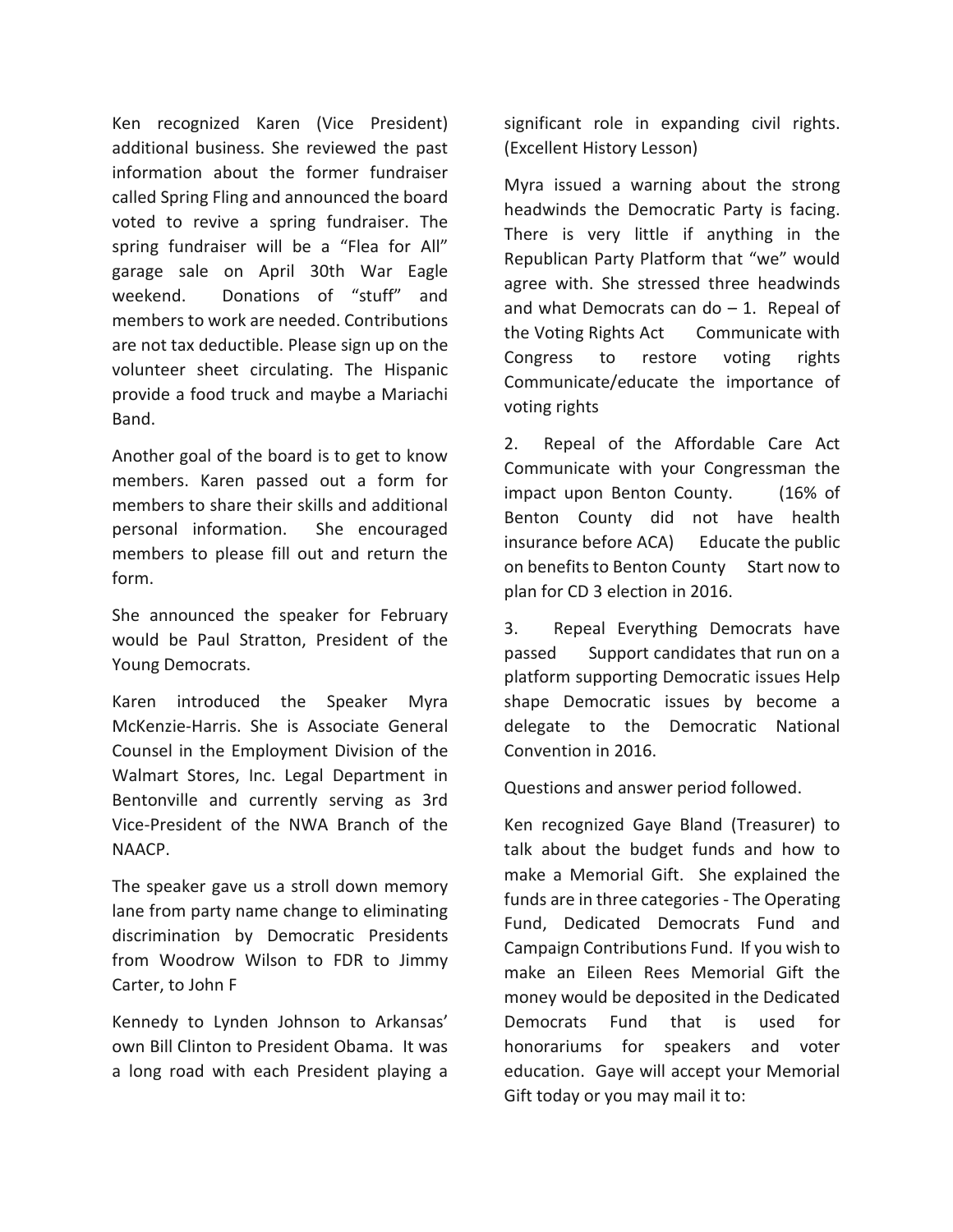Ken recognized Karen (Vice President) additional business. She reviewed the past information about the former fundraiser called Spring Fling and announced the board voted to revive a spring fundraiser. The spring fundraiser will be a "Flea for All" garage sale on April 30th War Eagle weekend. Donations of "stuff" and members to work are needed. Contributions are not tax deductible. Please sign up on the volunteer sheet circulating. The Hispanic provide a food truck and maybe a Mariachi Band.

Another goal of the board is to get to know members. Karen passed out a form for members to share their skills and additional personal information. She encouraged members to please fill out and return the form.

She announced the speaker for February would be Paul Stratton, President of the Young Democrats.

Karen introduced the Speaker Myra McKenzie-Harris. She is Associate General Counsel in the Employment Division of the Walmart Stores, Inc. Legal Department in Bentonville and currently serving as 3rd Vice-President of the NWA Branch of the NAACP.

The speaker gave us a stroll down memory lane from party name change to eliminating discrimination by Democratic Presidents from Woodrow Wilson to FDR to Jimmy Carter, to John F

Kennedy to Lynden Johnson to Arkansas' own Bill Clinton to President Obama. It was a long road with each President playing a

significant role in expanding civil rights. (Excellent History Lesson)

Myra issued a warning about the strong headwinds the Democratic Party is facing. There is very little if anything in the Republican Party Platform that "we" would agree with. She stressed three headwinds and what Democrats can do  $-1$ . Repeal of the Voting Rights Act Communicate with Congress to restore voting rights Communicate/educate the importance of voting rights

2. Repeal of the Affordable Care Act Communicate with your Congressman the impact upon Benton County. (16% of Benton County did not have health insurance before ACA) Educate the public on benefits to Benton County Start now to plan for CD 3 election in 2016.

3. Repeal Everything Democrats have passed Support candidates that run on a platform supporting Democratic issues Help shape Democratic issues by become a delegate to the Democratic National Convention in 2016.

Questions and answer period followed.

Ken recognized Gaye Bland (Treasurer) to talk about the budget funds and how to make a Memorial Gift. She explained the funds are in three categories - The Operating Fund, Dedicated Democrats Fund and Campaign Contributions Fund. If you wish to make an Eileen Rees Memorial Gift the money would be deposited in the Dedicated Democrats Fund that is used for honorariums for speakers and voter education. Gaye will accept your Memorial Gift today or you may mail it to: